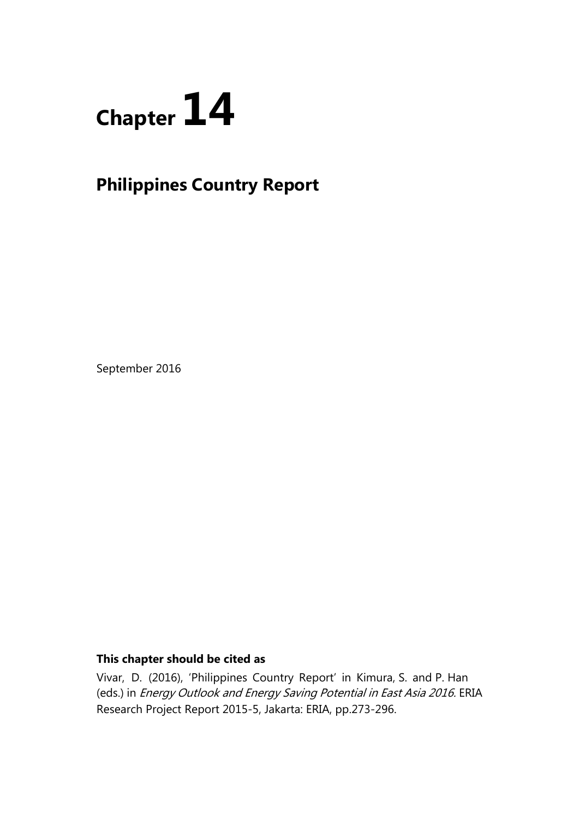

# **Philippines Country Report**

September 2016

# **This chapter should be cited as**

Vivar, D. (2016), 'Philippines Country Report' in Kimura, S. and P. Han (eds.) in Energy Outlook and Energy Saving Potential in East Asia 2016. ERIA Research Project Report 2015-5, Jakarta: ERIA, pp.273-296.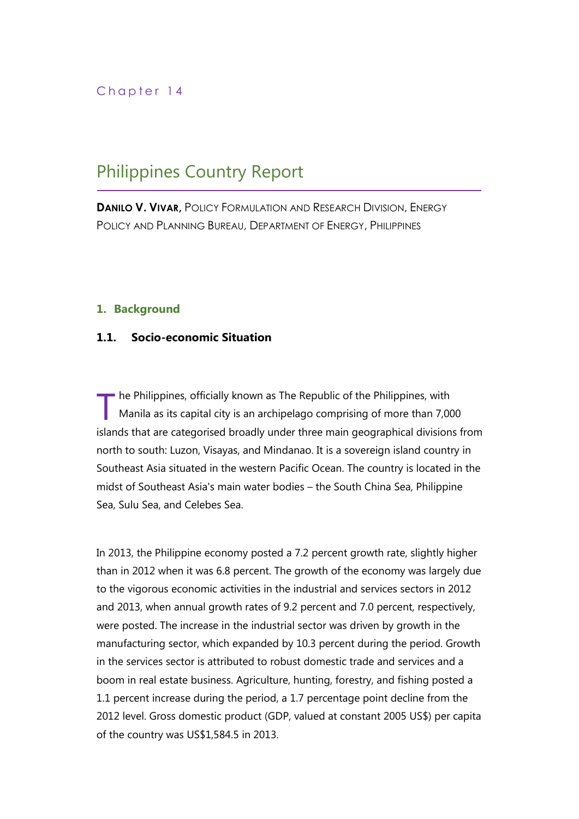# Chapter 14

# Philippines Country Report

**DANILO V. VIVAR,** POLICY FORMULATION AND RESEARCH DIVISION, ENERGY POLICY AND PLANNING BUREAU, DEPARTMENT OF ENERGY, PHILIPPINES

## **1. Background**

## **1.1. Socio-economic Situation**

he Philippines, officially known as The Republic of the Philippines, with Manila as its capital city is an archipelago comprising of more than 7,000 islands that are categorised broadly under three main geographical divisions from north to south: Luzon, Visayas, and Mindanao. It is a sovereign island country in Southeast Asia situated in the western Pacific Ocean. The country is located in the midst of Southeast Asia's main water bodies – the South China Sea, Philippine Sea, Sulu Sea, and Celebes Sea. T

In 2013, the Philippine economy posted a 7.2 percent growth rate, slightly higher than in 2012 when it was 6.8 percent. The growth of the economy was largely due to the vigorous economic activities in the industrial and services sectors in 2012 and 2013, when annual growth rates of 9.2 percent and 7.0 percent, respectively, were posted. The increase in the industrial sector was driven by growth in the manufacturing sector, which expanded by 10.3 percent during the period. Growth in the services sector is attributed to robust domestic trade and services and a boom in real estate business. Agriculture, hunting, forestry, and fishing posted a 1.1 percent increase during the period, a 1.7 percentage point decline from the 2012 level. Gross domestic product (GDP, valued at constant 2005 US\$) per capita of the country was US\$1,584.5 in 2013.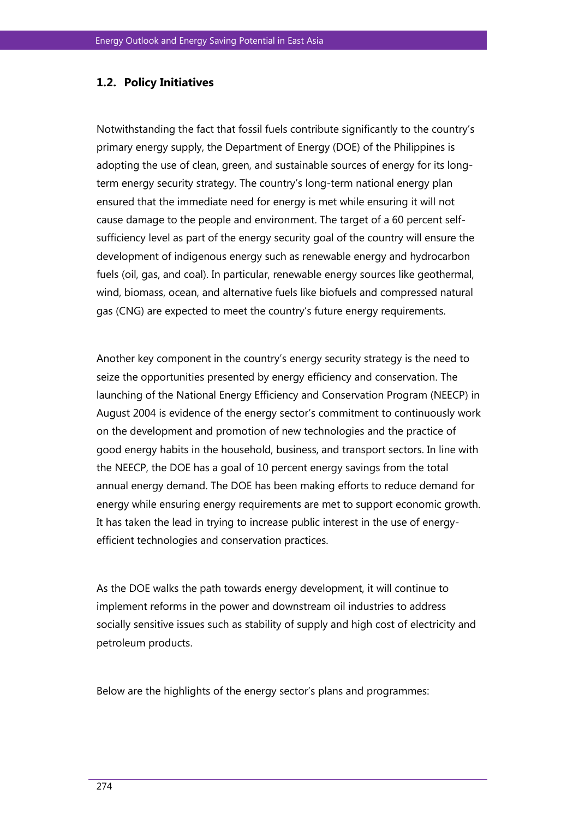## **1.2. Policy Initiatives**

Notwithstanding the fact that fossil fuels contribute significantly to the country's primary energy supply, the Department of Energy (DOE) of the Philippines is adopting the use of clean, green, and sustainable sources of energy for its longterm energy security strategy. The country's long-term national energy plan ensured that the immediate need for energy is met while ensuring it will not cause damage to the people and environment. The target of a 60 percent selfsufficiency level as part of the energy security goal of the country will ensure the development of indigenous energy such as renewable energy and hydrocarbon fuels (oil, gas, and coal). In particular, renewable energy sources like geothermal, wind, biomass, ocean, and alternative fuels like biofuels and compressed natural gas (CNG) are expected to meet the country's future energy requirements.

Another key component in the country's energy security strategy is the need to seize the opportunities presented by energy efficiency and conservation. The launching of the National Energy Efficiency and Conservation Program (NEECP) in August 2004 is evidence of the energy sector's commitment to continuously work on the development and promotion of new technologies and the practice of good energy habits in the household, business, and transport sectors. In line with the NEECP, the DOE has a goal of 10 percent energy savings from the total annual energy demand. The DOE has been making efforts to reduce demand for energy while ensuring energy requirements are met to support economic growth. It has taken the lead in trying to increase public interest in the use of energyefficient technologies and conservation practices.

As the DOE walks the path towards energy development, it will continue to implement reforms in the power and downstream oil industries to address socially sensitive issues such as stability of supply and high cost of electricity and petroleum products.

Below are the highlights of the energy sector's plans and programmes: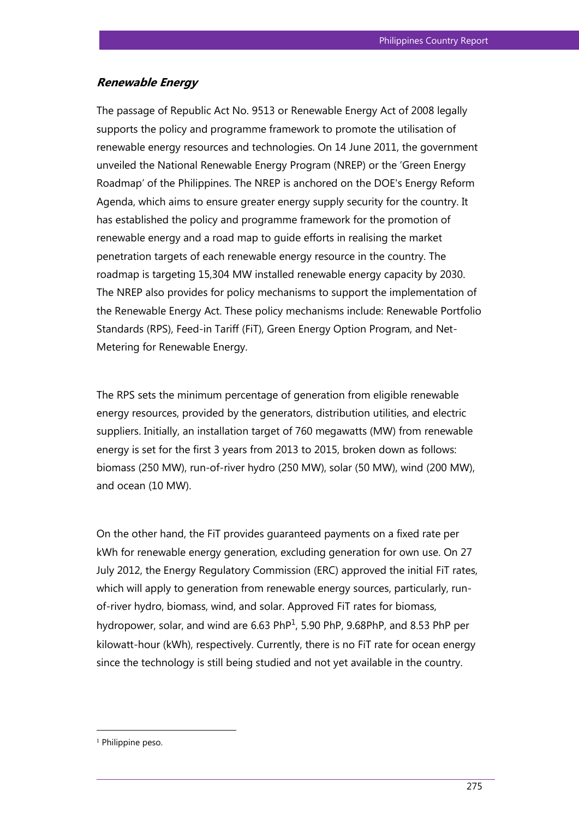## **Renewable Energy**

The passage of Republic Act No. 9513 or Renewable Energy Act of 2008 legally supports the policy and programme framework to promote the utilisation of renewable energy resources and technologies. On 14 June 2011, the government unveiled the National Renewable Energy Program (NREP) or the 'Green Energy Roadmap' of the Philippines. The NREP is anchored on the DOE's Energy Reform Agenda, which aims to ensure greater energy supply security for the country. It has established the policy and programme framework for the promotion of renewable energy and a road map to guide efforts in realising the market penetration targets of each renewable energy resource in the country. The roadmap is targeting 15,304 MW installed renewable energy capacity by 2030. The NREP also provides for policy mechanisms to support the implementation of the Renewable Energy Act. These policy mechanisms include: Renewable Portfolio Standards (RPS), Feed-in Tariff (FiT), Green Energy Option Program, and Net-Metering for Renewable Energy.

The RPS sets the minimum percentage of generation from eligible renewable energy resources, provided by the generators, distribution utilities, and electric suppliers. Initially, an installation target of 760 megawatts (MW) from renewable energy is set for the first 3 years from 2013 to 2015, broken down as follows: biomass (250 MW), run-of-river hydro (250 MW), solar (50 MW), wind (200 MW), and ocean (10 MW).

On the other hand, the FiT provides guaranteed payments on a fixed rate per kWh for renewable energy generation, excluding generation for own use. On 27 July 2012, the Energy Regulatory Commission (ERC) approved the initial FiT rates, which will apply to generation from renewable energy sources, particularly, runof-river hydro, biomass, wind, and solar. Approved FiT rates for biomass, hydropower, solar, and wind are  $6.63$  PhP<sup>1</sup>, 5.90 PhP, 9.68PhP, and 8.53 PhP per kilowatt-hour (kWh), respectively. Currently, there is no FiT rate for ocean energy since the technology is still being studied and not yet available in the country.

<sup>&</sup>lt;sup>1</sup> Philippine peso.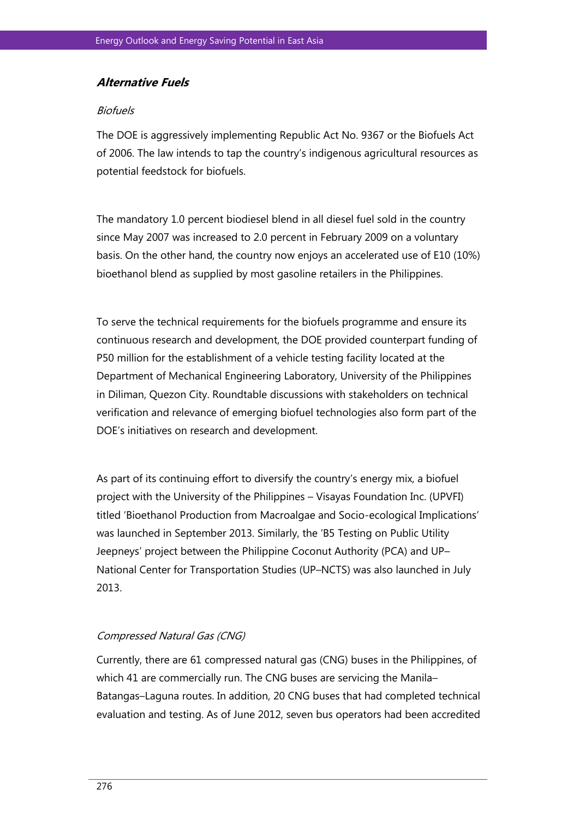## **Alternative Fuels**

#### **Biofuels**

The DOE is aggressively implementing Republic Act No. 9367 or the Biofuels Act of 2006. The law intends to tap the country's indigenous agricultural resources as potential feedstock for biofuels.

The mandatory 1.0 percent biodiesel blend in all diesel fuel sold in the country since May 2007 was increased to 2.0 percent in February 2009 on a voluntary basis. On the other hand, the country now enjoys an accelerated use of E10 (10%) bioethanol blend as supplied by most gasoline retailers in the Philippines.

To serve the technical requirements for the biofuels programme and ensure its continuous research and development, the DOE provided counterpart funding of P50 million for the establishment of a vehicle testing facility located at the Department of Mechanical Engineering Laboratory, University of the Philippines in Diliman, Quezon City. Roundtable discussions with stakeholders on technical verification and relevance of emerging biofuel technologies also form part of the DOE's initiatives on research and development.

As part of its continuing effort to diversify the country's energy mix, a biofuel project with the University of the Philippines – Visayas Foundation Inc. (UPVFI) titled 'Bioethanol Production from Macroalgae and Socio-ecological Implications' was launched in September 2013. Similarly, the 'B5 Testing on Public Utility Jeepneys' project between the Philippine Coconut Authority (PCA) and UP– National Center for Transportation Studies (UP–NCTS) was also launched in July 2013.

## Compressed Natural Gas (CNG)

Currently, there are 61 compressed natural gas (CNG) buses in the Philippines, of which 41 are commercially run. The CNG buses are servicing the Manila– Batangas–Laguna routes. In addition, 20 CNG buses that had completed technical evaluation and testing. As of June 2012, seven bus operators had been accredited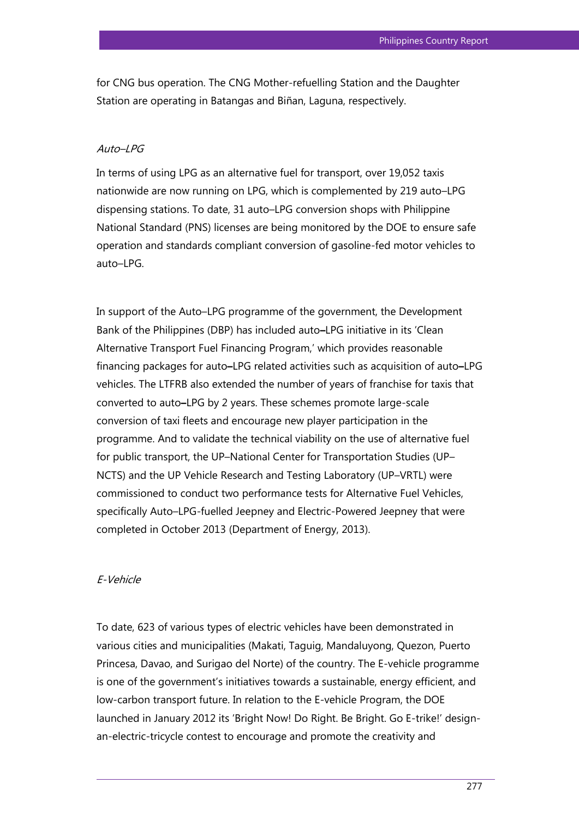for CNG bus operation. The CNG Mother-refuelling Station and the Daughter Station are operating in Batangas and Biñan, Laguna, respectively.

#### $A$ uto $-I$ *PG*

In terms of using LPG as an alternative fuel for transport, over 19,052 taxis nationwide are now running on LPG, which is complemented by 219 auto–LPG dispensing stations. To date, 31 auto–LPG conversion shops with Philippine National Standard (PNS) licenses are being monitored by the DOE to ensure safe operation and standards compliant conversion of gasoline-fed motor vehicles to auto–LPG.

In support of the Auto–LPG programme of the government, the Development Bank of the Philippines (DBP) has included auto**–**LPG initiative in its 'Clean Alternative Transport Fuel Financing Program,' which provides reasonable financing packages for auto**–**LPG related activities such as acquisition of auto**–**LPG vehicles. The LTFRB also extended the number of years of franchise for taxis that converted to auto**–**LPG by 2 years. These schemes promote large-scale conversion of taxi fleets and encourage new player participation in the programme. And to validate the technical viability on the use of alternative fuel for public transport, the UP–National Center for Transportation Studies (UP– NCTS) and the UP Vehicle Research and Testing Laboratory (UP–VRTL) were commissioned to conduct two performance tests for Alternative Fuel Vehicles, specifically Auto–LPG-fuelled Jeepney and Electric-Powered Jeepney that were completed in October 2013 (Department of Energy, 2013).

#### E-Vehicle

To date, 623 of various types of electric vehicles have been demonstrated in various cities and municipalities (Makati, Taguig, Mandaluyong, Quezon, Puerto Princesa, Davao, and Surigao del Norte) of the country. The E-vehicle programme is one of the government's initiatives towards a sustainable, energy efficient, and low-carbon transport future. In relation to the E-vehicle Program, the DOE launched in January 2012 its 'Bright Now! Do Right. Be Bright. Go E-trike!' designan-electric-tricycle contest to encourage and promote the creativity and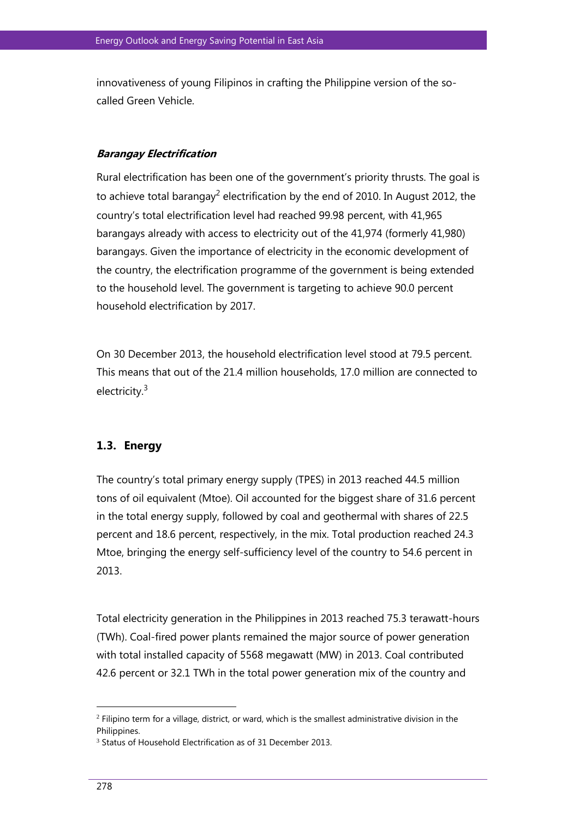innovativeness of young Filipinos in crafting the Philippine version of the socalled Green Vehicle.

## **Barangay Electrification**

Rural electrification has been one of the government's priority thrusts. The goal is to achieve total barangay<sup>2</sup> electrification by the end of 2010. In August 2012, the country's total electrification level had reached 99.98 percent, with 41,965 barangays already with access to electricity out of the 41,974 (formerly 41,980) barangays. Given the importance of electricity in the economic development of the country, the electrification programme of the government is being extended to the household level. The government is targeting to achieve 90.0 percent household electrification by 2017.

On 30 December 2013, the household electrification level stood at 79.5 percent. This means that out of the 21.4 million households, 17.0 million are connected to electricity.<sup>3</sup>

## **1.3. Energy**

The country's total primary energy supply (TPES) in 2013 reached 44.5 million tons of oil equivalent (Mtoe). Oil accounted for the biggest share of 31.6 percent in the total energy supply, followed by coal and geothermal with shares of 22.5 percent and 18.6 percent, respectively, in the mix. Total production reached 24.3 Mtoe, bringing the energy self-sufficiency level of the country to 54.6 percent in 2013.

Total electricity generation in the Philippines in 2013 reached 75.3 terawatt-hours (TWh). Coal-fired power plants remained the major source of power generation with total installed capacity of 5568 megawatt (MW) in 2013. Coal contributed 42.6 percent or 32.1 TWh in the total power generation mix of the country and

<sup>2</sup> Filipino term for a village, district, or ward, which is the smallest administrative division in the Philippines.

<sup>3</sup> Status of Household Electrification as of 31 December 2013.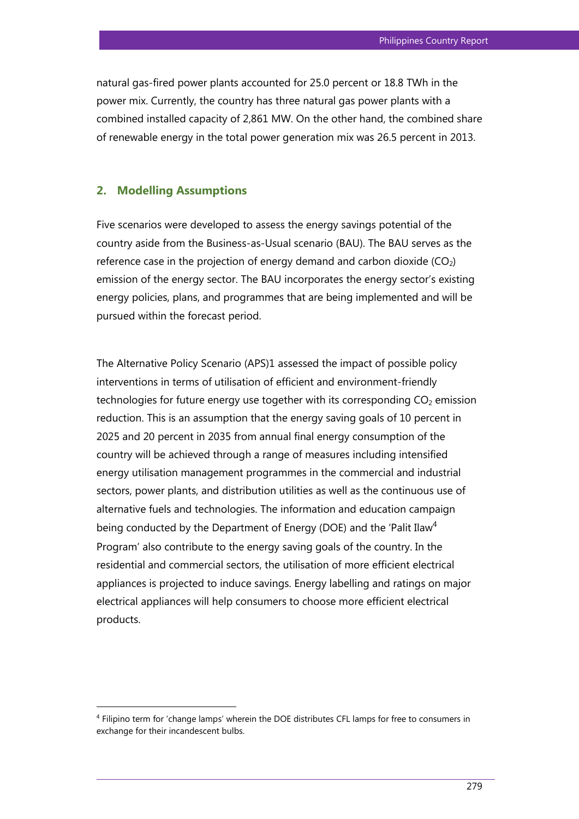natural gas-fired power plants accounted for 25.0 percent or 18.8 TWh in the power mix. Currently, the country has three natural gas power plants with a combined installed capacity of 2,861 MW. On the other hand, the combined share of renewable energy in the total power generation mix was 26.5 percent in 2013.

## **2. Modelling Assumptions**

Five scenarios were developed to assess the energy savings potential of the country aside from the Business-as-Usual scenario (BAU). The BAU serves as the reference case in the projection of energy demand and carbon dioxide  $(CO<sub>2</sub>)$ emission of the energy sector. The BAU incorporates the energy sector's existing energy policies, plans, and programmes that are being implemented and will be pursued within the forecast period.

The Alternative Policy Scenario (APS)1 assessed the impact of possible policy interventions in terms of utilisation of efficient and environment-friendly technologies for future energy use together with its corresponding  $CO<sub>2</sub>$  emission reduction. This is an assumption that the energy saving goals of 10 percent in 2025 and 20 percent in 2035 from annual final energy consumption of the country will be achieved through a range of measures including intensified energy utilisation management programmes in the commercial and industrial sectors, power plants, and distribution utilities as well as the continuous use of alternative fuels and technologies. The information and education campaign being conducted by the Department of Energy (DOE) and the 'Palit Ilaw<sup>4</sup> Program' also contribute to the energy saving goals of the country. In the residential and commercial sectors, the utilisation of more efficient electrical appliances is projected to induce savings. Energy labelling and ratings on major electrical appliances will help consumers to choose more efficient electrical products.

<sup>4</sup> Filipino term for 'change lamps' wherein the DOE distributes CFL lamps for free to consumers in exchange for their incandescent bulbs.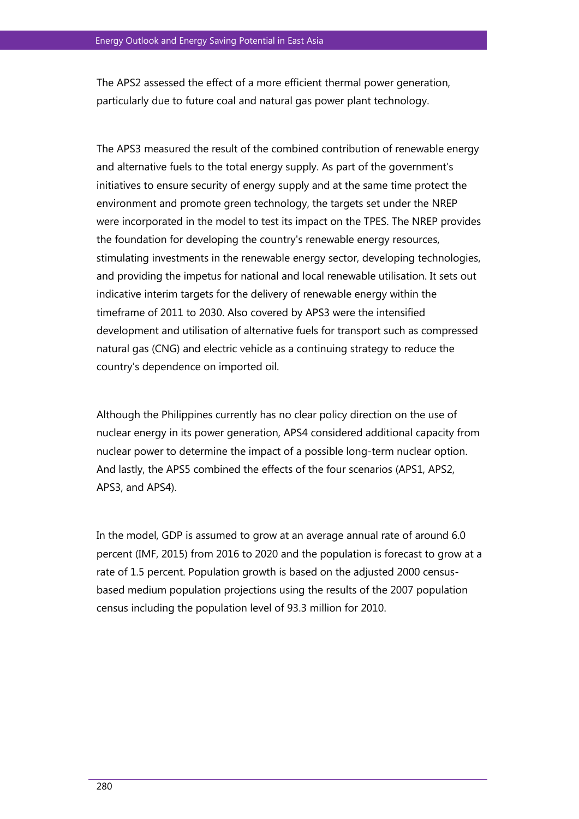The APS2 assessed the effect of a more efficient thermal power generation, particularly due to future coal and natural gas power plant technology.

The APS3 measured the result of the combined contribution of renewable energy and alternative fuels to the total energy supply. As part of the government's initiatives to ensure security of energy supply and at the same time protect the environment and promote green technology, the targets set under the NREP were incorporated in the model to test its impact on the TPES. The NREP provides the foundation for developing the country's renewable energy resources, stimulating investments in the renewable energy sector, developing technologies, and providing the impetus for national and local renewable utilisation. It sets out indicative interim targets for the delivery of renewable energy within the timeframe of 2011 to 2030. Also covered by APS3 were the intensified development and utilisation of alternative fuels for transport such as compressed natural gas (CNG) and electric vehicle as a continuing strategy to reduce the country's dependence on imported oil.

Although the Philippines currently has no clear policy direction on the use of nuclear energy in its power generation, APS4 considered additional capacity from nuclear power to determine the impact of a possible long-term nuclear option. And lastly, the APS5 combined the effects of the four scenarios (APS1, APS2, APS3, and APS4).

In the model, GDP is assumed to grow at an average annual rate of around 6.0 percent (IMF, 2015) from 2016 to 2020 and the population is forecast to grow at a rate of 1.5 percent. Population growth is based on the adjusted 2000 censusbased medium population projections using the results of the 2007 population census including the population level of 93.3 million for 2010.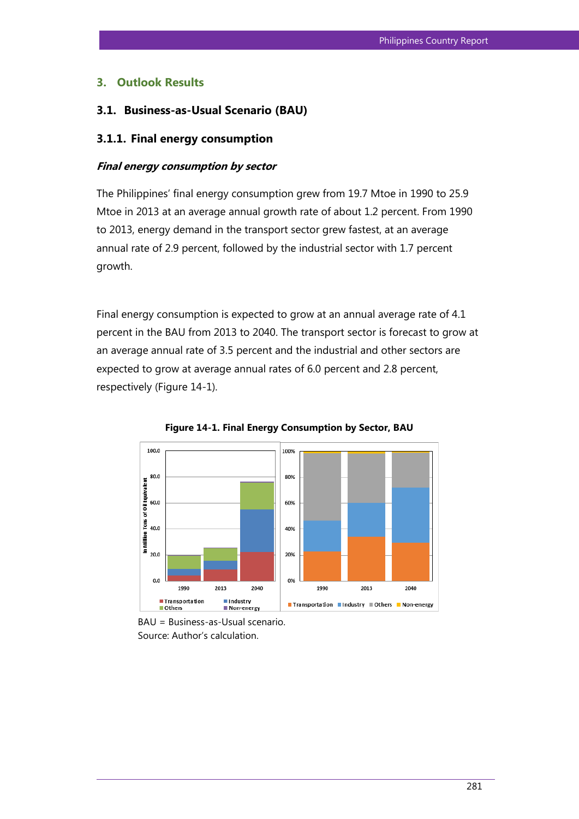## **3. Outlook Results**

## **3.1. Business-as-Usual Scenario (BAU)**

#### **3.1.1. Final energy consumption**

#### **Final energy consumption by sector**

The Philippines' final energy consumption grew from 19.7 Mtoe in 1990 to 25.9 Mtoe in 2013 at an average annual growth rate of about 1.2 percent. From 1990 to 2013, energy demand in the transport sector grew fastest, at an average annual rate of 2.9 percent, followed by the industrial sector with 1.7 percent growth.

Final energy consumption is expected to grow at an annual average rate of 4.1 percent in the BAU from 2013 to 2040. The transport sector is forecast to grow at an average annual rate of 3.5 percent and the industrial and other sectors are expected to grow at average annual rates of 6.0 percent and 2.8 percent, respectively (Figure 14-1).



**Figure 14-1. Final Energy Consumption by Sector, BAU**

BAU = Business-as-Usual scenario. Source: Author's calculation.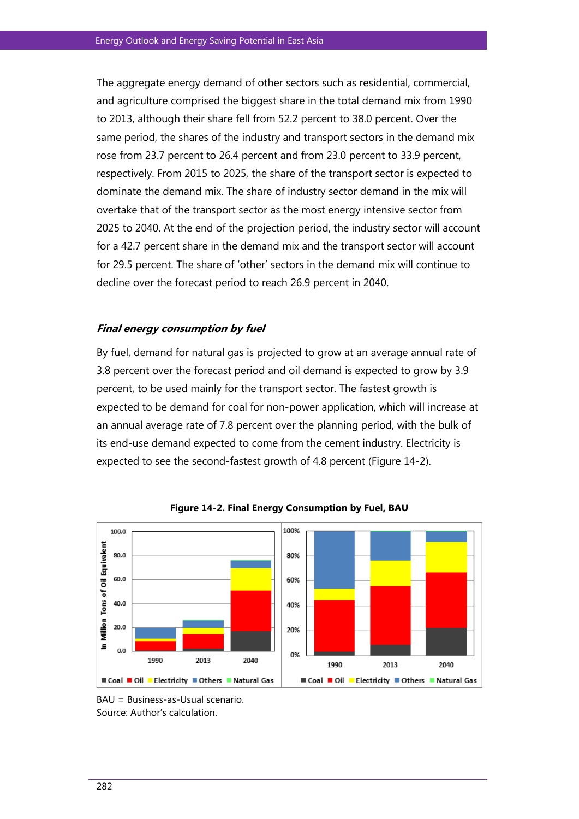The aggregate energy demand of other sectors such as residential, commercial, and agriculture comprised the biggest share in the total demand mix from 1990 to 2013, although their share fell from 52.2 percent to 38.0 percent. Over the same period, the shares of the industry and transport sectors in the demand mix rose from 23.7 percent to 26.4 percent and from 23.0 percent to 33.9 percent, respectively. From 2015 to 2025, the share of the transport sector is expected to dominate the demand mix. The share of industry sector demand in the mix will overtake that of the transport sector as the most energy intensive sector from 2025 to 2040. At the end of the projection period, the industry sector will account for a 42.7 percent share in the demand mix and the transport sector will account for 29.5 percent. The share of 'other' sectors in the demand mix will continue to decline over the forecast period to reach 26.9 percent in 2040.

### **Final energy consumption by fuel**

By fuel, demand for natural gas is projected to grow at an average annual rate of 3.8 percent over the forecast period and oil demand is expected to grow by 3.9 percent, to be used mainly for the transport sector. The fastest growth is expected to be demand for coal for non-power application, which will increase at an annual average rate of 7.8 percent over the planning period, with the bulk of its end-use demand expected to come from the cement industry. Electricity is expected to see the second-fastest growth of 4.8 percent (Figure 14-2).



**Figure 14-2. Final Energy Consumption by Fuel, BAU**

BAU = Business-as-Usual scenario. Source: Author's calculation.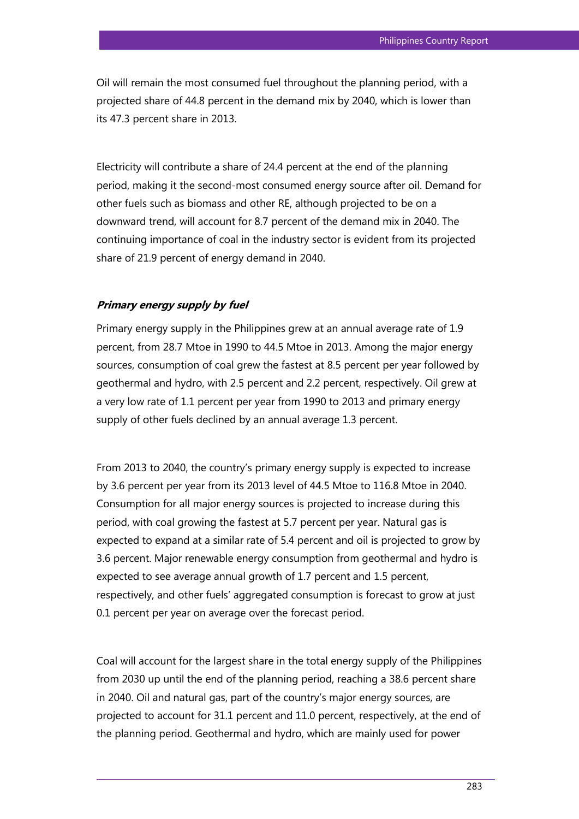Oil will remain the most consumed fuel throughout the planning period, with a projected share of 44.8 percent in the demand mix by 2040, which is lower than its 47.3 percent share in 2013.

Electricity will contribute a share of 24.4 percent at the end of the planning period, making it the second-most consumed energy source after oil. Demand for other fuels such as biomass and other RE, although projected to be on a downward trend, will account for 8.7 percent of the demand mix in 2040. The continuing importance of coal in the industry sector is evident from its projected share of 21.9 percent of energy demand in 2040.

#### **Primary energy supply by fuel**

Primary energy supply in the Philippines grew at an annual average rate of 1.9 percent, from 28.7 Mtoe in 1990 to 44.5 Mtoe in 2013. Among the major energy sources, consumption of coal grew the fastest at 8.5 percent per year followed by geothermal and hydro, with 2.5 percent and 2.2 percent, respectively. Oil grew at a very low rate of 1.1 percent per year from 1990 to 2013 and primary energy supply of other fuels declined by an annual average 1.3 percent.

From 2013 to 2040, the country's primary energy supply is expected to increase by 3.6 percent per year from its 2013 level of 44.5 Mtoe to 116.8 Mtoe in 2040. Consumption for all major energy sources is projected to increase during this period, with coal growing the fastest at 5.7 percent per year. Natural gas is expected to expand at a similar rate of 5.4 percent and oil is projected to grow by 3.6 percent. Major renewable energy consumption from geothermal and hydro is expected to see average annual growth of 1.7 percent and 1.5 percent, respectively, and other fuels' aggregated consumption is forecast to grow at just 0.1 percent per year on average over the forecast period.

Coal will account for the largest share in the total energy supply of the Philippines from 2030 up until the end of the planning period, reaching a 38.6 percent share in 2040. Oil and natural gas, part of the country's major energy sources, are projected to account for 31.1 percent and 11.0 percent, respectively, at the end of the planning period. Geothermal and hydro, which are mainly used for power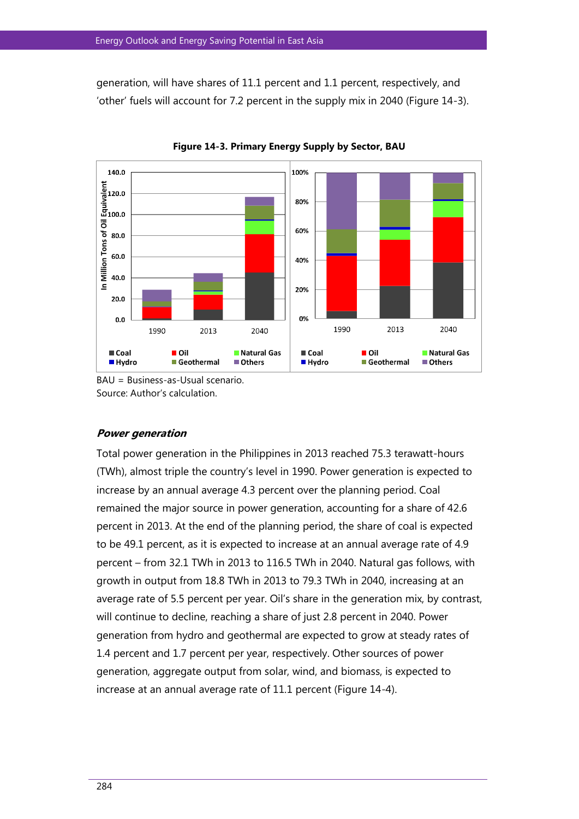generation, will have shares of 11.1 percent and 1.1 percent, respectively, and 'other' fuels will account for 7.2 percent in the supply mix in 2040 (Figure 14-3).



**Figure 14-3. Primary Energy Supply by Sector, BAU**

BAU = Business-as-Usual scenario. Source: Author's calculation.

### **Power generation**

Total power generation in the Philippines in 2013 reached 75.3 terawatt-hours (TWh), almost triple the country's level in 1990. Power generation is expected to increase by an annual average 4.3 percent over the planning period. Coal remained the major source in power generation, accounting for a share of 42.6 percent in 2013. At the end of the planning period, the share of coal is expected to be 49.1 percent, as it is expected to increase at an annual average rate of 4.9 percent – from 32.1 TWh in 2013 to 116.5 TWh in 2040. Natural gas follows, with growth in output from 18.8 TWh in 2013 to 79.3 TWh in 2040, increasing at an average rate of 5.5 percent per year. Oil's share in the generation mix, by contrast, will continue to decline, reaching a share of just 2.8 percent in 2040. Power generation from hydro and geothermal are expected to grow at steady rates of 1.4 percent and 1.7 percent per year, respectively. Other sources of power generation, aggregate output from solar, wind, and biomass, is expected to increase at an annual average rate of 11.1 percent (Figure 14-4).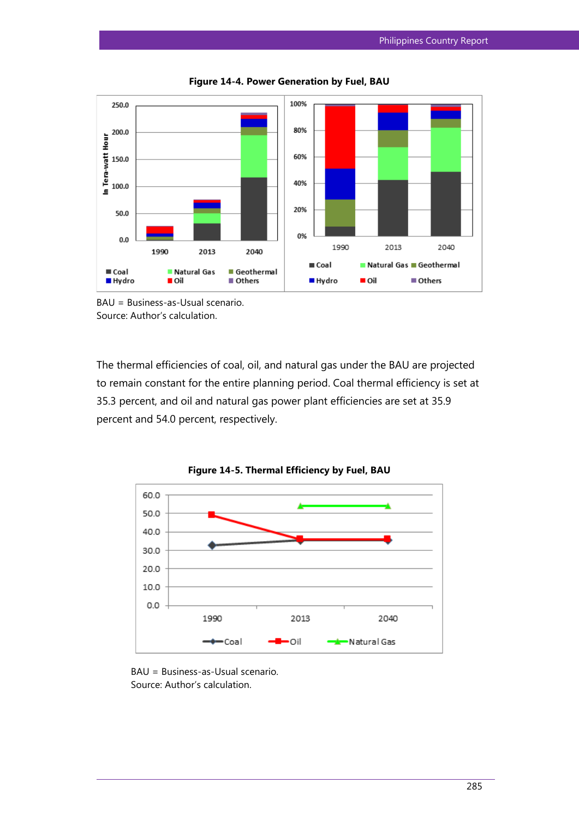

**Figure 14-4. Power Generation by Fuel, BAU**



The thermal efficiencies of coal, oil, and natural gas under the BAU are projected to remain constant for the entire planning period. Coal thermal efficiency is set at 35.3 percent, and oil and natural gas power plant efficiencies are set at 35.9 percent and 54.0 percent, respectively.





BAU = Business-as-Usual scenario. Source: Author's calculation.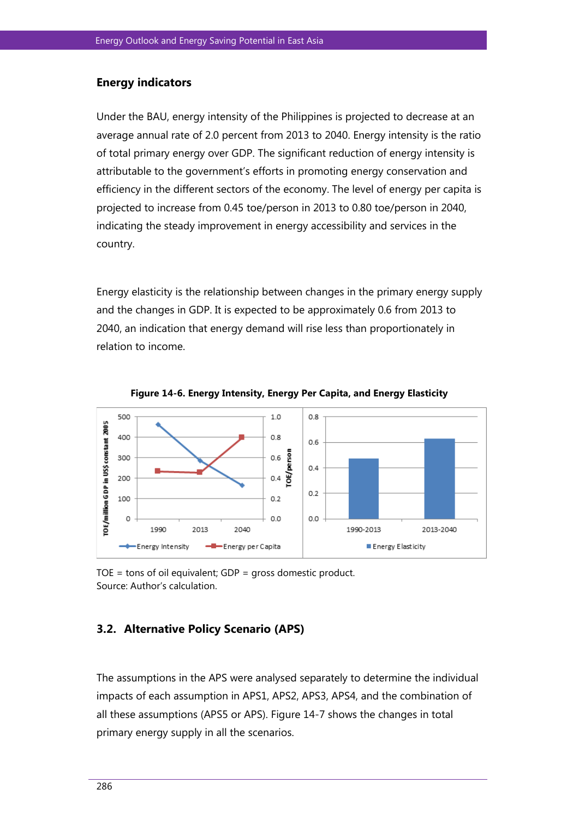## **Energy indicators**

Under the BAU, energy intensity of the Philippines is projected to decrease at an average annual rate of 2.0 percent from 2013 to 2040. Energy intensity is the ratio of total primary energy over GDP. The significant reduction of energy intensity is attributable to the government's efforts in promoting energy conservation and efficiency in the different sectors of the economy. The level of energy per capita is projected to increase from 0.45 toe/person in 2013 to 0.80 toe/person in 2040, indicating the steady improvement in energy accessibility and services in the country.

Energy elasticity is the relationship between changes in the primary energy supply and the changes in GDP. It is expected to be approximately 0.6 from 2013 to 2040, an indication that energy demand will rise less than proportionately in relation to income.



**Figure 14-6. Energy Intensity, Energy Per Capita, and Energy Elasticity**

TOE = tons of oil equivalent; GDP = gross domestic product. Source: Author's calculation.

# **3.2. Alternative Policy Scenario (APS)**

The assumptions in the APS were analysed separately to determine the individual impacts of each assumption in APS1, APS2, APS3, APS4, and the combination of all these assumptions (APS5 or APS). Figure 14-7 shows the changes in total primary energy supply in all the scenarios.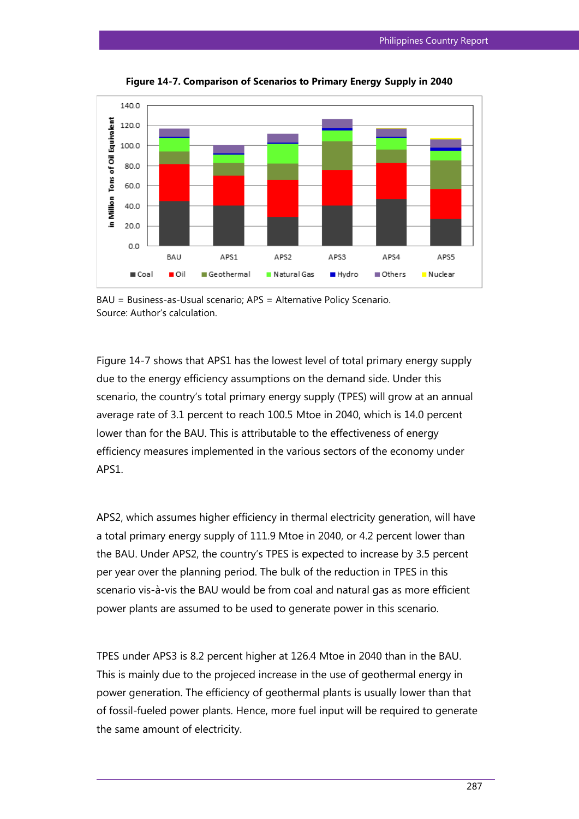

**Figure 14-7. Comparison of Scenarios to Primary Energy Supply in 2040**

Figure 14-7 shows that APS1 has the lowest level of total primary energy supply due to the energy efficiency assumptions on the demand side. Under this scenario, the country's total primary energy supply (TPES) will grow at an annual average rate of 3.1 percent to reach 100.5 Mtoe in 2040, which is 14.0 percent lower than for the BAU. This is attributable to the effectiveness of energy efficiency measures implemented in the various sectors of the economy under APS1.

APS2, which assumes higher efficiency in thermal electricity generation, will have a total primary energy supply of 111.9 Mtoe in 2040, or 4.2 percent lower than the BAU. Under APS2, the country's TPES is expected to increase by 3.5 percent per year over the planning period. The bulk of the reduction in TPES in this scenario vis-à-vis the BAU would be from coal and natural gas as more efficient power plants are assumed to be used to generate power in this scenario.

TPES under APS3 is 8.2 percent higher at 126.4 Mtoe in 2040 than in the BAU. This is mainly due to the projeced increase in the use of geothermal energy in power generation. The efficiency of geothermal plants is usually lower than that of fossil-fueled power plants. Hence, more fuel input will be required to generate the same amount of electricity.

BAU = Business-as-Usual scenario; APS = Alternative Policy Scenario. Source: Author's calculation.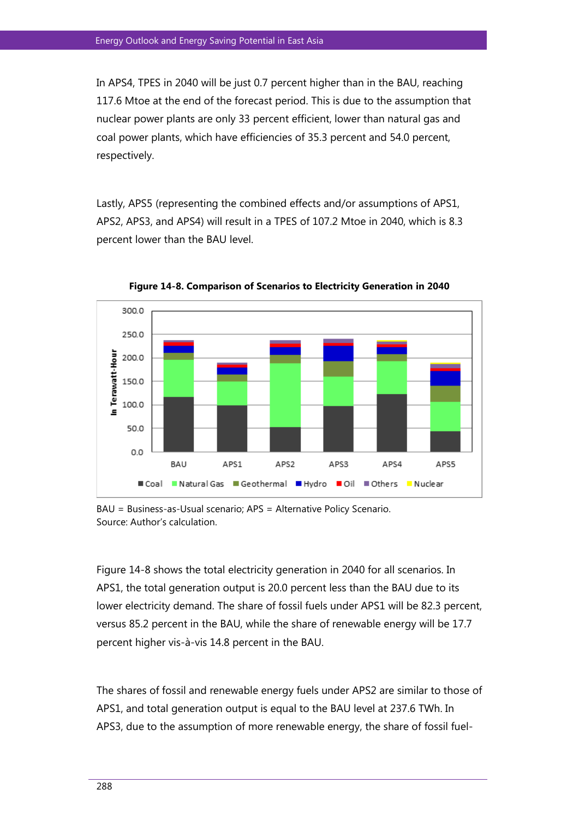In APS4, TPES in 2040 will be just 0.7 percent higher than in the BAU, reaching 117.6 Mtoe at the end of the forecast period. This is due to the assumption that nuclear power plants are only 33 percent efficient, lower than natural gas and coal power plants, which have efficiencies of 35.3 percent and 54.0 percent, respectively.

Lastly, APS5 (representing the combined effects and/or assumptions of APS1, APS2, APS3, and APS4) will result in a TPES of 107.2 Mtoe in 2040, which is 8.3 percent lower than the BAU level.



**Figure 14-8. Comparison of Scenarios to Electricity Generation in 2040**

BAU = Business-as-Usual scenario; APS = Alternative Policy Scenario. Source: Author's calculation.

Figure 14-8 shows the total electricity generation in 2040 for all scenarios. In APS1, the total generation output is 20.0 percent less than the BAU due to its lower electricity demand. The share of fossil fuels under APS1 will be 82.3 percent, versus 85.2 percent in the BAU, while the share of renewable energy will be 17.7 percent higher vis-à-vis 14.8 percent in the BAU.

The shares of fossil and renewable energy fuels under APS2 are similar to those of APS1, and total generation output is equal to the BAU level at 237.6 TWh. In APS3, due to the assumption of more renewable energy, the share of fossil fuel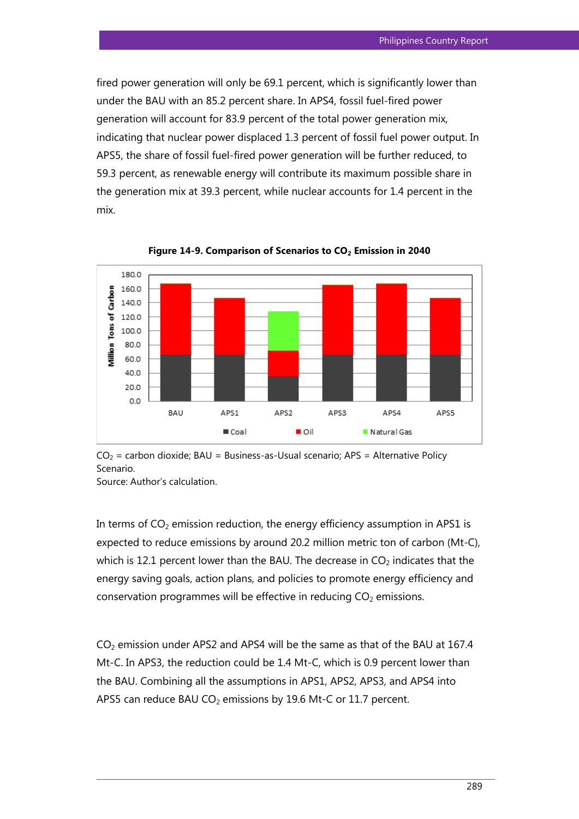fired power generation will only be 69.1 percent, which is significantly lower than under the BAU with an 85.2 percent share. In APS4, fossil fuel-fired power generation will account for 83.9 percent of the total power generation mix, indicating that nuclear power displaced 1.3 percent of fossil fuel power output. In APS5, the share of fossil fuel-fired power generation will be further reduced, to 59.3 percent, as renewable energy will contribute its maximum possible share in the generation mix at 39.3 percent, while nuclear accounts for 1.4 percent in the mix.



**Figure 14-9. Comparison of Scenarios to CO<sup>2</sup> Emission in 2040**

 $CO<sub>2</sub>$  = carbon dioxide; BAU = Business-as-Usual scenario; APS = Alternative Policy Scenario.

Source: Author's calculation.

In terms of  $CO<sub>2</sub>$  emission reduction, the energy efficiency assumption in APS1 is expected to reduce emissions by around 20.2 million metric ton of carbon (Mt-C), which is 12.1 percent lower than the BAU. The decrease in  $CO<sub>2</sub>$  indicates that the energy saving goals, action plans, and policies to promote energy efficiency and conservation programmes will be effective in reducing  $CO<sub>2</sub>$  emissions.

CO<sub>2</sub> emission under APS2 and APS4 will be the same as that of the BAU at 167.4 Mt-C. In APS3, the reduction could be 1.4 Mt-C, which is 0.9 percent lower than the BAU. Combining all the assumptions in APS1, APS2, APS3, and APS4 into APS5 can reduce BAU CO<sub>2</sub> emissions by 19.6 Mt-C or 11.7 percent.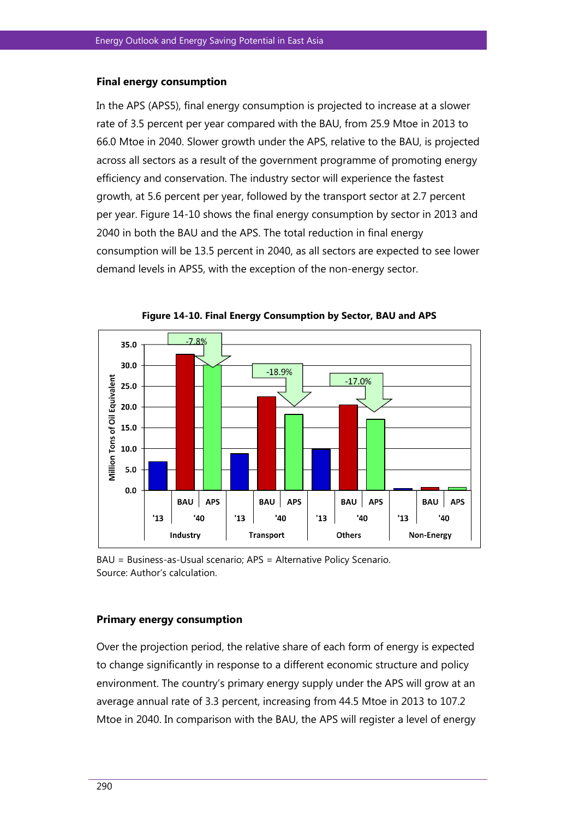#### **Final energy consumption**

In the APS (APS5), final energy consumption is projected to increase at a slower rate of 3.5 percent per year compared with the BAU, from 25.9 Mtoe in 2013 to 66.0 Mtoe in 2040. Slower growth under the APS, relative to the BAU, is projected across all sectors as a result of the government programme of promoting energy efficiency and conservation. The industry sector will experience the fastest growth, at 5.6 percent per year, followed by the transport sector at 2.7 percent per year. Figure 14-10 shows the final energy consumption by sector in 2013 and 2040 in both the BAU and the APS. The total reduction in final energy consumption will be 13.5 percent in 2040, as all sectors are expected to see lower demand levels in APS5, with the exception of the non-energy sector.



**Figure 14-10. Final Energy Consumption by Sector, BAU and APS**

#### **Primary energy consumption**

Over the projection period, the relative share of each form of energy is expected to change significantly in response to a different economic structure and policy environment. The country's primary energy supply under the APS will grow at an average annual rate of 3.3 percent, increasing from 44.5 Mtoe in 2013 to 107.2 Mtoe in 2040. In comparison with the BAU, the APS will register a level of energy

BAU = Business-as-Usual scenario; APS = Alternative Policy Scenario. Source: Author's calculation.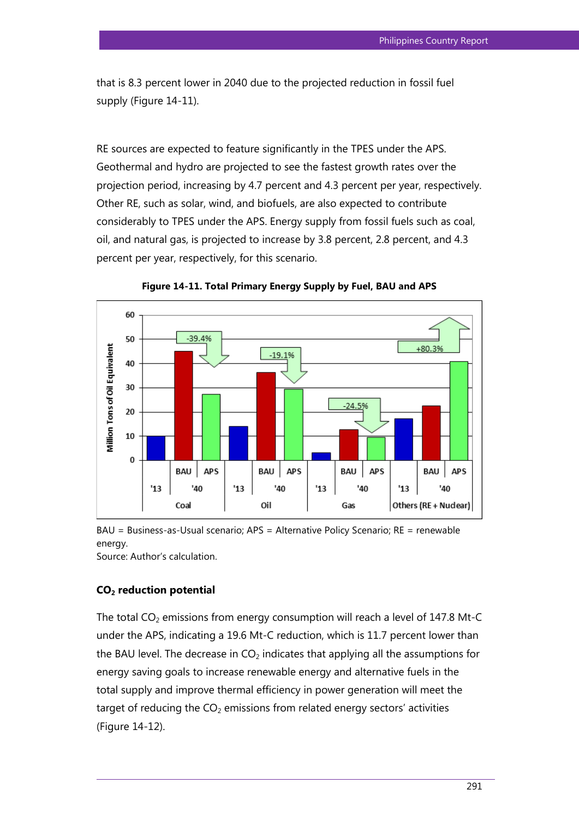that is 8.3 percent lower in 2040 due to the projected reduction in fossil fuel supply (Figure 14-11).

RE sources are expected to feature significantly in the TPES under the APS. Geothermal and hydro are projected to see the fastest growth rates over the projection period, increasing by 4.7 percent and 4.3 percent per year, respectively. Other RE, such as solar, wind, and biofuels, are also expected to contribute considerably to TPES under the APS. Energy supply from fossil fuels such as coal, oil, and natural gas, is projected to increase by 3.8 percent, 2.8 percent, and 4.3 percent per year, respectively, for this scenario.



**Figure 14-11. Total Primary Energy Supply by Fuel, BAU and APS**

BAU = Business-as-Usual scenario; APS = Alternative Policy Scenario; RE = renewable energy.

Source: Author's calculation.

## **CO2 reduction potential**

The total  $CO<sub>2</sub>$  emissions from energy consumption will reach a level of 147.8 Mt-C under the APS, indicating a 19.6 Mt-C reduction, which is 11.7 percent lower than the BAU level. The decrease in  $CO<sub>2</sub>$  indicates that applying all the assumptions for energy saving goals to increase renewable energy and alternative fuels in the total supply and improve thermal efficiency in power generation will meet the target of reducing the  $CO<sub>2</sub>$  emissions from related energy sectors' activities (Figure 14-12).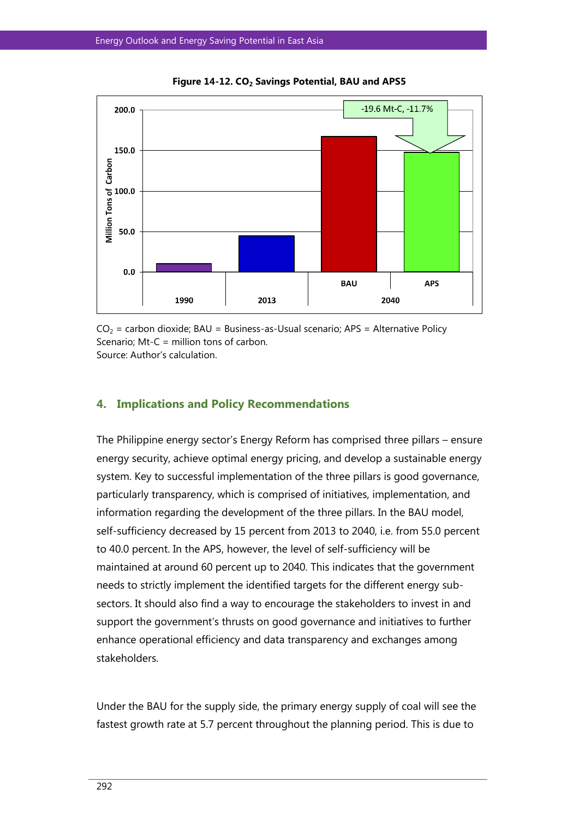

**Figure 14-12. CO<sup>2</sup> Savings Potential, BAU and APS5**

 $CO<sub>2</sub>$  = carbon dioxide; BAU = Business-as-Usual scenario; APS = Alternative Policy Scenario; Mt-C = million tons of carbon.

Source: Author's calculation.

#### **4. Implications and Policy Recommendations**

The Philippine energy sector's Energy Reform has comprised three pillars – ensure energy security, achieve optimal energy pricing, and develop a sustainable energy system. Key to successful implementation of the three pillars is good governance, particularly transparency, which is comprised of initiatives, implementation, and information regarding the development of the three pillars. In the BAU model, self-sufficiency decreased by 15 percent from 2013 to 2040, i.e. from 55.0 percent to 40.0 percent. In the APS, however, the level of self-sufficiency will be maintained at around 60 percent up to 2040. This indicates that the government needs to strictly implement the identified targets for the different energy subsectors. It should also find a way to encourage the stakeholders to invest in and support the government's thrusts on good governance and initiatives to further enhance operational efficiency and data transparency and exchanges among stakeholders.

Under the BAU for the supply side, the primary energy supply of coal will see the fastest growth rate at 5.7 percent throughout the planning period. This is due to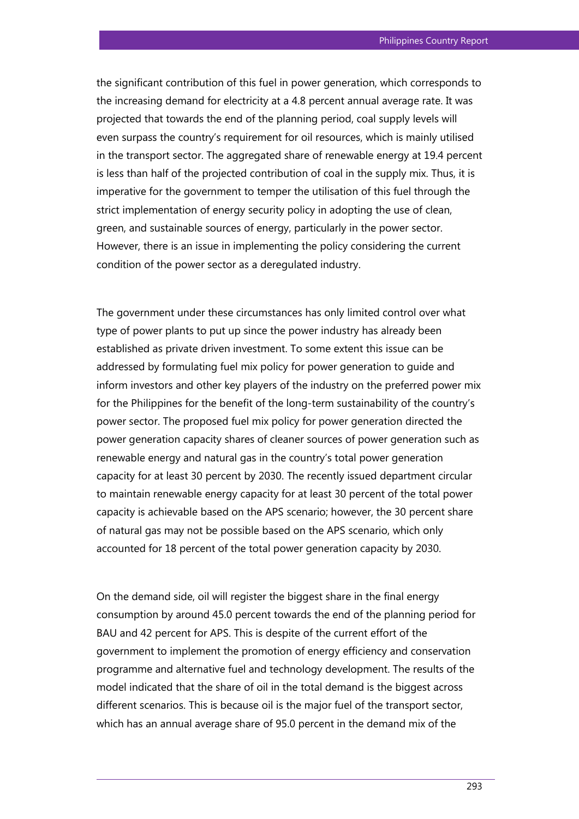the significant contribution of this fuel in power generation, which corresponds to the increasing demand for electricity at a 4.8 percent annual average rate. It was projected that towards the end of the planning period, coal supply levels will even surpass the country's requirement for oil resources, which is mainly utilised in the transport sector. The aggregated share of renewable energy at 19.4 percent is less than half of the projected contribution of coal in the supply mix. Thus, it is imperative for the government to temper the utilisation of this fuel through the strict implementation of energy security policy in adopting the use of clean, green, and sustainable sources of energy, particularly in the power sector. However, there is an issue in implementing the policy considering the current condition of the power sector as a deregulated industry.

The government under these circumstances has only limited control over what type of power plants to put up since the power industry has already been established as private driven investment. To some extent this issue can be addressed by formulating fuel mix policy for power generation to guide and inform investors and other key players of the industry on the preferred power mix for the Philippines for the benefit of the long-term sustainability of the country's power sector. The proposed fuel mix policy for power generation directed the power generation capacity shares of cleaner sources of power generation such as renewable energy and natural gas in the country's total power generation capacity for at least 30 percent by 2030. The recently issued department circular to maintain renewable energy capacity for at least 30 percent of the total power capacity is achievable based on the APS scenario; however, the 30 percent share of natural gas may not be possible based on the APS scenario, which only accounted for 18 percent of the total power generation capacity by 2030.

On the demand side, oil will register the biggest share in the final energy consumption by around 45.0 percent towards the end of the planning period for BAU and 42 percent for APS. This is despite of the current effort of the government to implement the promotion of energy efficiency and conservation programme and alternative fuel and technology development. The results of the model indicated that the share of oil in the total demand is the biggest across different scenarios. This is because oil is the major fuel of the transport sector, which has an annual average share of 95.0 percent in the demand mix of the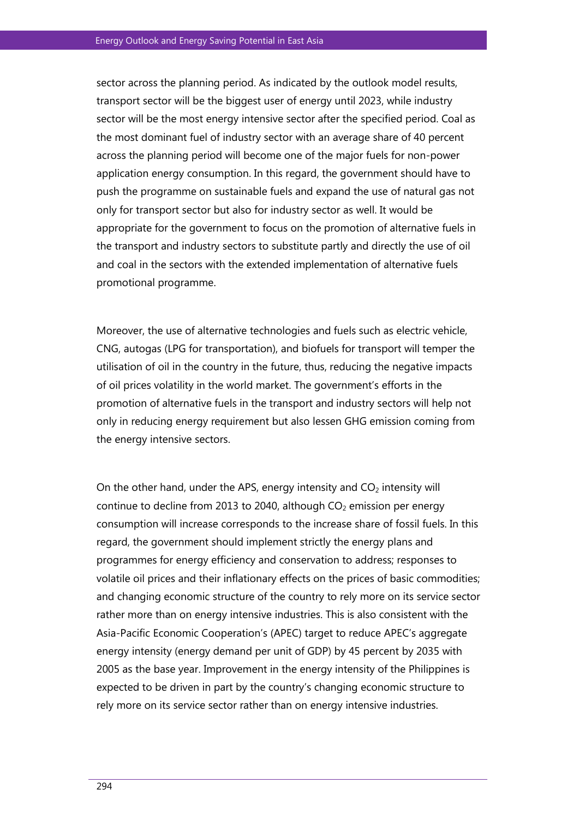sector across the planning period. As indicated by the outlook model results, transport sector will be the biggest user of energy until 2023, while industry sector will be the most energy intensive sector after the specified period. Coal as the most dominant fuel of industry sector with an average share of 40 percent across the planning period will become one of the major fuels for non-power application energy consumption. In this regard, the government should have to push the programme on sustainable fuels and expand the use of natural gas not only for transport sector but also for industry sector as well. It would be appropriate for the government to focus on the promotion of alternative fuels in the transport and industry sectors to substitute partly and directly the use of oil and coal in the sectors with the extended implementation of alternative fuels promotional programme.

Moreover, the use of alternative technologies and fuels such as electric vehicle, CNG, autogas (LPG for transportation), and biofuels for transport will temper the utilisation of oil in the country in the future, thus, reducing the negative impacts of oil prices volatility in the world market. The government's efforts in the promotion of alternative fuels in the transport and industry sectors will help not only in reducing energy requirement but also lessen GHG emission coming from the energy intensive sectors.

On the other hand, under the APS, energy intensity and  $CO<sub>2</sub>$  intensity will continue to decline from 2013 to 2040, although  $CO<sub>2</sub>$  emission per energy consumption will increase corresponds to the increase share of fossil fuels. In this regard, the government should implement strictly the energy plans and programmes for energy efficiency and conservation to address; responses to volatile oil prices and their inflationary effects on the prices of basic commodities; and changing economic structure of the country to rely more on its service sector rather more than on energy intensive industries. This is also consistent with the Asia-Pacific Economic Cooperation's (APEC) target to reduce APEC's aggregate energy intensity (energy demand per unit of GDP) by 45 percent by 2035 with 2005 as the base year. Improvement in the energy intensity of the Philippines is expected to be driven in part by the country's changing economic structure to rely more on its service sector rather than on energy intensive industries.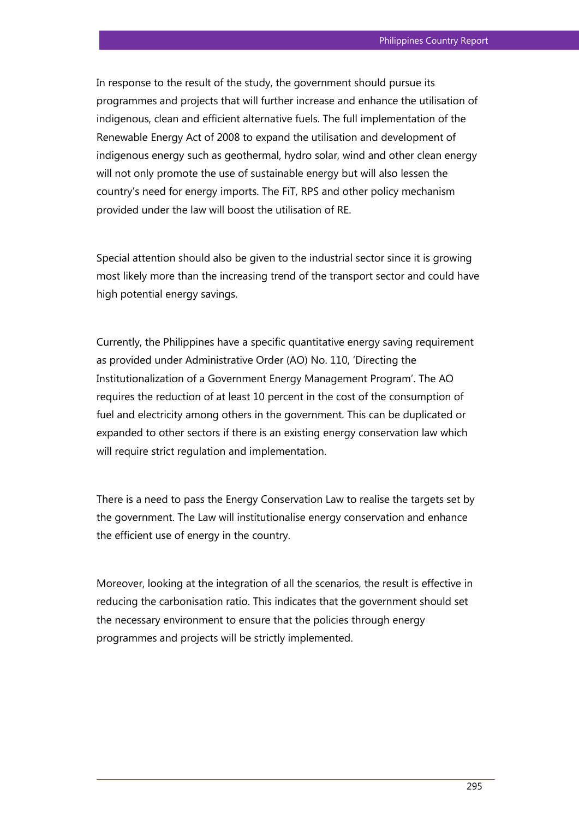In response to the result of the study, the government should pursue its programmes and projects that will further increase and enhance the utilisation of indigenous, clean and efficient alternative fuels. The full implementation of the Renewable Energy Act of 2008 to expand the utilisation and development of indigenous energy such as geothermal, hydro solar, wind and other clean energy will not only promote the use of sustainable energy but will also lessen the country's need for energy imports. The FiT, RPS and other policy mechanism provided under the law will boost the utilisation of RE.

Special attention should also be given to the industrial sector since it is growing most likely more than the increasing trend of the transport sector and could have high potential energy savings.

Currently, the Philippines have a specific quantitative energy saving requirement as provided under Administrative Order (AO) No. 110, 'Directing the Institutionalization of a Government Energy Management Program'. The AO requires the reduction of at least 10 percent in the cost of the consumption of fuel and electricity among others in the government. This can be duplicated or expanded to other sectors if there is an existing energy conservation law which will require strict regulation and implementation.

There is a need to pass the Energy Conservation Law to realise the targets set by the government. The Law will institutionalise energy conservation and enhance the efficient use of energy in the country.

Moreover, looking at the integration of all the scenarios, the result is effective in reducing the carbonisation ratio. This indicates that the government should set the necessary environment to ensure that the policies through energy programmes and projects will be strictly implemented.